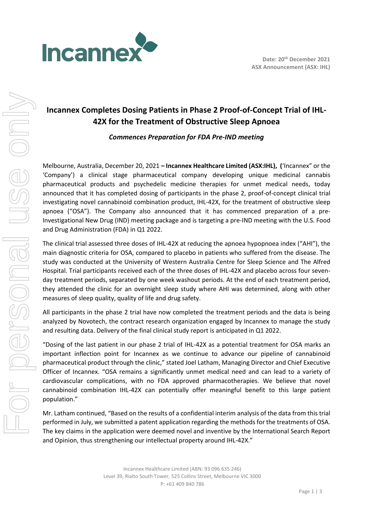

## **Incannex Completes Dosing Patients in Phase 2 Proof-of-Concept Trial of IHL-42X for the Treatment of Obstructive Sleep Apnoea**

## *Commences Preparation for FDA Pre-IND meeting*

Melbourne, Australia, December 20, 2021 **– Incannex Healthcare Limited (ASX:IHL), (**'Incannex" or the 'Company') a clinical stage pharmaceutical company developing unique medicinal cannabis pharmaceutical products and psychedelic medicine therapies for unmet medical needs, today announced that it has completed dosing of participants in the phase 2, proof-of-concept clinical trial investigating novel cannabinoid combination product, IHL-42X, for the treatment of obstructive sleep apnoea ("OSA"). The Company also announced that it has commenced preparation of a pre-Investigational New Drug (IND) meeting package and is targeting a pre-IND meeting with the U.S. Food and Drug Administration (FDA) in Q1 2022.

The clinical trial assessed three doses of IHL-42X at reducing the apnoea hypopnoea index ("AHI"), the main diagnostic criteria for OSA, compared to placebo in patients who suffered from the disease. The study was conducted at the University of Western Australia Centre for Sleep Science and The Alfred Hospital. Trial participants received each of the three doses of IHL-42X and placebo across four sevenday treatment periods, separated by one week washout periods. At the end of each treatment period, they attended the clinic for an overnight sleep study where AHI was determined, along with other measures of sleep quality, quality of life and drug safety.

All participants in the phase 2 trial have now completed the treatment periods and the data is being analyzed by Novotech, the contract research organization engaged by Incannex to manage the study and resulting data. Delivery of the final clinical study report is anticipated in Q1 2022.

"Dosing of the last patient in our phase 2 trial of IHL-42X as a potential treatment for OSA marks an important inflection point for Incannex as we continue to advance our pipeline of cannabinoid pharmaceutical product through the clinic," stated Joel Latham, Managing Director and Chief Executive Officer of Incannex. "OSA remains a significantly unmet medical need and can lead to a variety of cardiovascular complications, with no FDA approved pharmacotherapies. We believe that novel cannabinoid combination IHL-42X can potentially offer meaningful benefit to this large patient population."

Mr. Latham continued, "Based on the results of a confidential interim analysis of the data from this trial performed in July, we submitted a patent application regarding the methods for the treatments of OSA. The key claims in the application were deemed novel and inventive by the International Search Report and Opinion, thus strengthening our intellectual property around IHL-42X."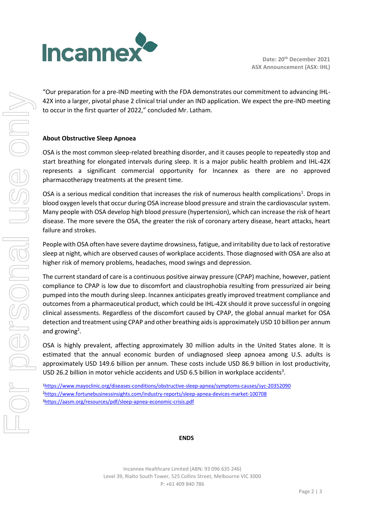

"Our preparation for a pre-IND meeting with the FDA demonstrates our commitment to advancing IHL-42X into a larger, pivotal phase 2 clinical trial under an IND application. We expect the pre-IND meeting to occur in the first quarter of 2022," concluded Mr. Latham.

## **About Obstructive Sleep Apnoea**

OSA is the most common sleep-related breathing disorder, and it causes people to repeatedly stop and start breathing for elongated intervals during sleep. It is a major public health problem and IHL-42X represents a significant commercial opportunity for Incannex as there are no approved pharmacotherapy treatments at the present time.

OSA is a serious medical condition that increases the risk of numerous health complications<sup>1</sup>. Drops in blood oxygen levels that occur during OSA increase blood pressure and strain the cardiovascular system. Many people with OSA develop high blood pressure (hypertension), which can increase the risk of heart disease. The more severe the OSA, the greater the risk of coronary artery disease, heart attacks, heart failure and strokes.

People with OSA often have severe daytime drowsiness, fatigue, and irritability due to lack of restorative sleep at night, which are observed causes of workplace accidents. Those diagnosed with OSA are also at higher risk of memory problems, headaches, mood swings and depression.

The current standard of care is a continuous positive airway pressure (CPAP) machine, however, patient compliance to CPAP is low due to discomfort and claustrophobia resulting from pressurized air being pumped into the mouth during sleep. Incannex anticipates greatly improved treatment compliance and outcomes from a pharmaceutical product, which could be IHL-42X should it prove successful in ongoing clinical assessments. Regardless of the discomfort caused by CPAP, the global annual market for OSA detection and treatment using CPAP and other breathing aids is approximately USD 10 billion per annum and growing<sup>2</sup>.

OSA is highly prevalent, affecting approximately 30 million adults in the United States alone. It is estimated that the annual economic burden of undiagnosed sleep apnoea among U.S. adults is approximately USD 149.6 billion per annum. These costs include USD 86.9 billion in lost productivity, USD 26.2 billion in motor vehicle accidents and USD 6.5 billion in workplace accidents<sup>3</sup>.

<sup>1</sup><https://www.mayoclinic.org/diseases-conditions/obstructive-sleep-apnea/symptoms-causes/syc-20352090> <sup>2</sup><https://www.fortunebusinessinsights.com/industry-reports/sleep-apnea-devices-market-100708> <sup>3</sup><https://aasm.org/resources/pdf/sleep-apnea-economic-crisis.pdf>

**ENDS**

Incannex Healthcare Limited (ABN: 93 096 635 246) Level 39, Rialto South Tower, 525 Collins Street, Melbourne VIC 3000 P: +61 409 840 786